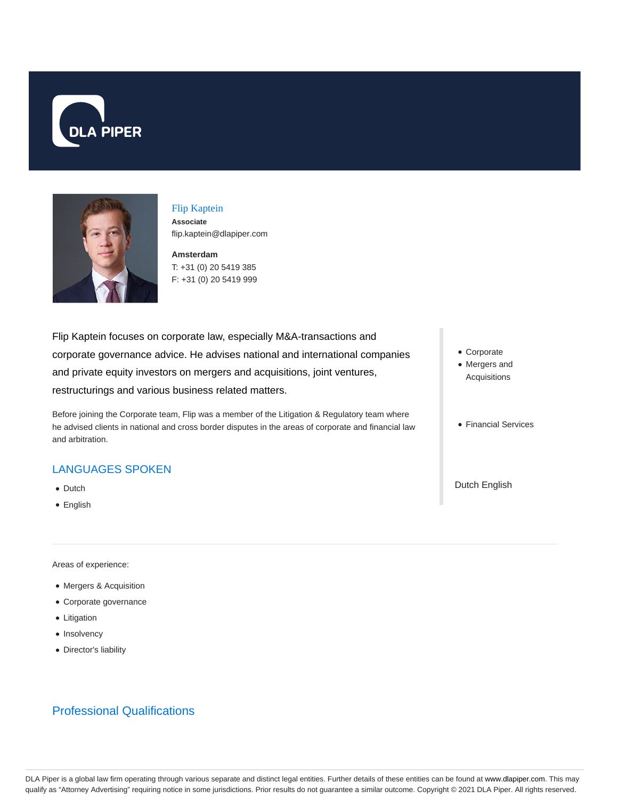



# Flip Kaptein

**Associate** flip.kaptein@dlapiper.com

**Amsterdam** T: +31 (0) 20 5419 385 F: +31 (0) 20 5419 999

Flip Kaptein focuses on corporate law, especially M&A-transactions and corporate governance advice. He advises national and international companies and private equity investors on mergers and acquisitions, joint ventures, restructurings and various business related matters.

Before joining the Corporate team, Flip was a member of the Litigation & Regulatory team where he advised clients in national and cross border disputes in the areas of corporate and financial law and arbitration.

## LANGUAGES SPOKEN

- Dutch
- English

Areas of experience:

- Mergers & Acquisition
- Corporate governance
- Litigation
- Insolvency
- Director's liability

# Professional Qualifications

- Corporate
- Mergers and Acquisitions
- Financial Services

Dutch English